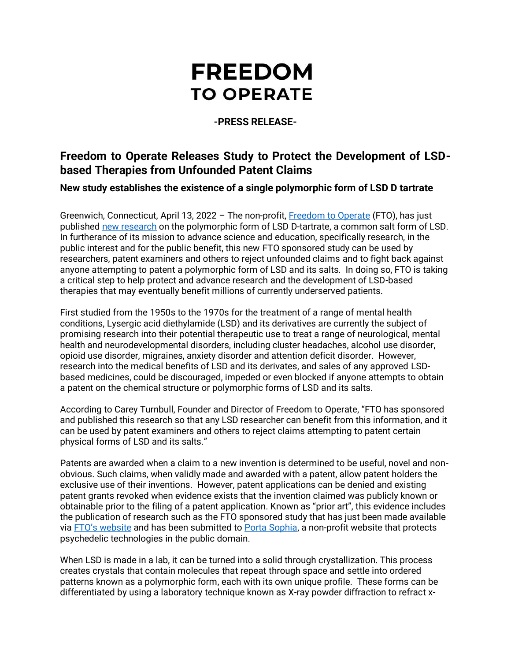# **FREEDOM TO OPERATE**

## **-PRESS RELEASE-**

## **Freedom to Operate Releases Study to Protect the Development of LSDbased Therapies from Unfounded Patent Claims**

**New study establishes the existence of a single polymorphic form of LSD D tartrate**

Greenwich, Connecticut, April 13, 2022 - The non-profit, [Freedom to Operate](https://freedomtooperate.org/) (FTO), has just published [new research](https://mailtrack.io/trace/link/f36d51bbec3771d2410481938857862e6446fa6f?url=https%3A%2F%2Fbit.ly%2F3LDenWa&userId=6198509&signature=fc42df72e072f790) on the polymorphic form of LSD D-tartrate, a common salt form of LSD. In furtherance of its mission to advance science and education, specifically research, in the public interest and for the public benefit, this new FTO sponsored study can be used by researchers, patent examiners and others to reject unfounded claims and to fight back against anyone attempting to patent a polymorphic form of LSD and its salts. In doing so, FTO is taking a critical step to help protect and advance research and the development of LSD-based therapies that may eventually benefit millions of currently underserved patients.

First studied from the 1950s to the 1970s for the treatment of a range of mental health conditions, Lysergic acid diethylamide (LSD) and its derivatives are currently the subject of promising research into their potential therapeutic use to treat a range of neurological, mental health and neurodevelopmental disorders, including cluster headaches, alcohol use disorder, opioid use disorder, migraines, anxiety disorder and attention deficit disorder. However, research into the medical benefits of LSD and its derivates, and sales of any approved LSDbased medicines, could be discouraged, impeded or even blocked if anyone attempts to obtain a patent on the chemical structure or polymorphic forms of LSD and its salts.

According to Carey Turnbull, Founder and Director of Freedom to Operate, "FTO has sponsored and published this research so that any LSD researcher can benefit from this information, and it can be used by patent examiners and others to reject claims attempting to patent certain physical forms of LSD and its salts."

Patents are awarded when a claim to a new invention is determined to be useful, novel and nonobvious. Such claims, when validly made and awarded with a patent, allow patent holders the exclusive use of their inventions. However, patent applications can be denied and existing patent grants revoked when evidence exists that the invention claimed was publicly known or obtainable prior to the filing of a patent application. Known as "prior art", this evidence includes the publication of research such as the FTO sponsored study that has just been made available via [FTO's website](https://mailtrack.io/trace/link/f36d51bbec3771d2410481938857862e6446fa6f?url=https%3A%2F%2Fbit.ly%2F3LDenWa&userId=6198509&signature=fc42df72e072f790) and has been submitted to [Porta Sophia,](https://www.portasophia.org/) a non-profit website that protects psychedelic technologies in the public domain.

When LSD is made in a lab, it can be turned into a solid through crystallization. This process creates crystals that contain molecules that repeat through space and settle into ordered patterns known as a polymorphic form, each with its own unique profile. These forms can be differentiated by using a laboratory technique known as X-ray powder diffraction to refract x